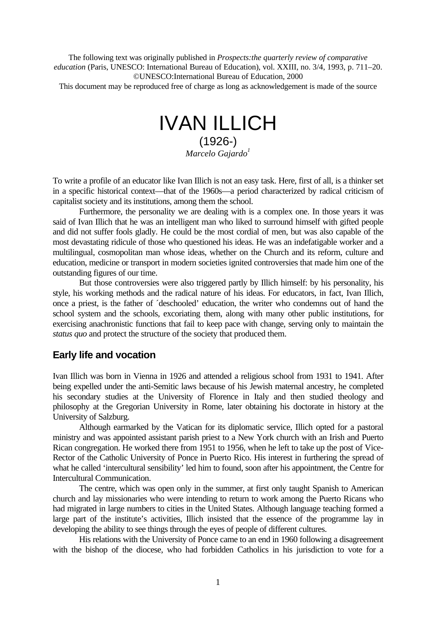The following text was originally published in *Prospects:the quarterly review of comparative education* (Paris, UNESCO: International Bureau of Education), vol. XXIII, no. 3/4, 1993, p. 711–20. ©UNESCO:International Bureau of Education, 2000

This document may be reproduced free of charge as long as acknowledgement is made of the source

# IVAN ILLICH (1926-) *Marcelo Gajardo<sup>1</sup>*

To write a profile of an educator like Ivan Illich is not an easy task. Here, first of all, is a thinker set in a specific historical context—that of the 1960s—a period characterized by radical criticism of capitalist society and its institutions, among them the school.

Furthermore, the personality we are dealing with is a complex one. In those years it was said of Ivan Illich that he was an intelligent man who liked to surround himself with gifted people and did not suffer fools gladly. He could be the most cordial of men, but was also capable of the most devastating ridicule of those who questioned his ideas. He was an indefatigable worker and a multilingual, cosmopolitan man whose ideas, whether on the Church and its reform, culture and education, medicine or transport in modern societies ignited controversies that made him one of the outstanding figures of our time.

But those controversies were also triggered partly by Illich himself: by his personality, his style, his working methods and the radical nature of his ideas. For educators, in fact, Ivan Illich, once a priest, is the father of ´deschooled' education, the writer who condemns out of hand the school system and the schools, excoriating them, along with many other public institutions, for exercising anachronistic functions that fail to keep pace with change, serving only to maintain the *status quo* and protect the structure of the society that produced them.

# **Early life and vocation**

Ivan Illich was born in Vienna in 1926 and attended a religious school from 1931 to 1941. After being expelled under the anti-Semitic laws because of his Jewish maternal ancestry, he completed his secondary studies at the University of Florence in Italy and then studied theology and philosophy at the Gregorian University in Rome, later obtaining his doctorate in history at the University of Salzburg.

Although earmarked by the Vatican for its diplomatic service, Illich opted for a pastoral ministry and was appointed assistant parish priest to a New York church with an Irish and Puerto Rican congregation. He worked there from 1951 to 1956, when he left to take up the post of Vice-Rector of the Catholic University of Ponce in Puerto Rico. His interest in furthering the spread of what he called 'intercultural sensibility' led him to found, soon after his appointment, the Centre for Intercultural Communication.

The centre, which was open only in the summer, at first only taught Spanish to American church and lay missionaries who were intending to return to work among the Puerto Ricans who had migrated in large numbers to cities in the United States. Although language teaching formed a large part of the institute's activities, Illich insisted that the essence of the programme lay in developing the ability to see things through the eyes of people of different cultures.

His relations with the University of Ponce came to an end in 1960 following a disagreement with the bishop of the diocese, who had forbidden Catholics in his jurisdiction to vote for a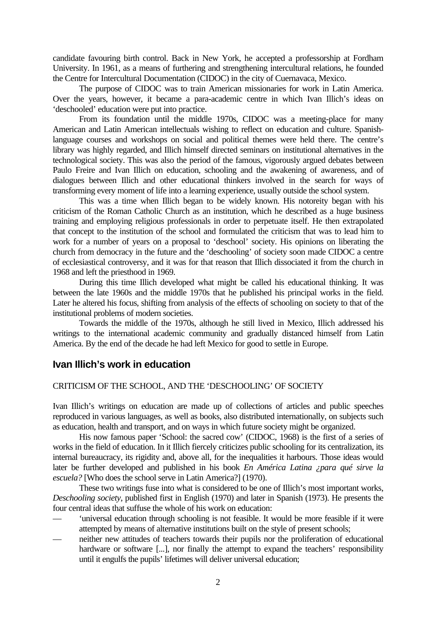candidate favouring birth control. Back in New York, he accepted a professorship at Fordham University. In 1961, as a means of furthering and strengthening intercultural relations, he founded the Centre for Intercultural Documentation (CIDOC) in the city of Cuernavaca, Mexico.

The purpose of CIDOC was to train American missionaries for work in Latin America. Over the years, however, it became a para-academic centre in which Ivan Illich's ideas on 'deschooled' education were put into practice.

From its foundation until the middle 1970s, CIDOC was a meeting-place for many American and Latin American intellectuals wishing to reflect on education and culture. Spanishlanguage courses and workshops on social and political themes were held there. The centre's library was highly regarded, and Illich himself directed seminars on institutional alternatives in the technological society. This was also the period of the famous, vigorously argued debates between Paulo Freire and Ivan Illich on education, schooling and the awakening of awareness, and of dialogues between Illich and other educational thinkers involved in the search for ways of transforming every moment of life into a learning experience, usually outside the school system.

This was a time when Illich began to be widely known. His notoreity began with his criticism of the Roman Catholic Church as an institution, which he described as a huge business training and employing religious professionals in order to perpetuate itself. He then extrapolated that concept to the institution of the school and formulated the criticism that was to lead him to work for a number of years on a proposal to 'deschool' society. His opinions on liberating the church from democracy in the future and the 'deschooling' of society soon made CIDOC a centre of ecclesiastical controversy, and it was for that reason that Illich dissociated it from the church in 1968 and left the priesthood in 1969.

During this time Illich developed what might be called his educational thinking. It was between the late 1960s and the middle 1970s that he published his principal works in the field. Later he altered his focus, shifting from analysis of the effects of schooling on society to that of the institutional problems of modern societies.

Towards the middle of the 1970s, although he still lived in Mexico, Illich addressed his writings to the international academic community and gradually distanced himself from Latin America. By the end of the decade he had left Mexico for good to settle in Europe.

## **Ivan Illich's work in education**

#### CRITICISM OF THE SCHOOL, AND THE 'DESCHOOLING' OF SOCIETY

Ivan Illich's writings on education are made up of collections of articles and public speeches reproduced in various languages, as well as books, also distributed internationally, on subjects such as education, health and transport, and on ways in which future society might be organized.

His now famous paper 'School: the sacred cow' (CIDOC, 1968) is the first of a series of works in the field of education. In it Illich fiercely criticizes public schooling for its centralization, its internal bureaucracy, its rigidity and, above all, for the inequalities it harbours. Those ideas would later be further developed and published in his book *En América Latina ¿para qué sirve la escuela?* [Who does the school serve in Latin America?] (1970).

These two writings fuse into what is considered to be one of Illich's most important works, *Deschooling society*, published first in English (1970) and later in Spanish (1973). He presents the four central ideas that suffuse the whole of his work on education:

- 'universal education through schooling is not feasible. It would be more feasible if it were attempted by means of alternative institutions built on the style of present schools;
- neither new attitudes of teachers towards their pupils nor the proliferation of educational hardware or software [...], nor finally the attempt to expand the teachers' responsibility until it engulfs the pupils' lifetimes will deliver universal education;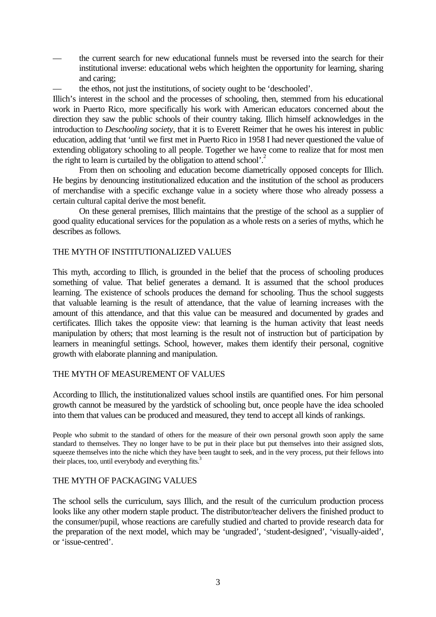- the current search for new educational funnels must be reversed into the search for their institutional inverse: educational webs which heighten the opportunity for learning, sharing and caring;
	- the ethos, not just the institutions, of society ought to be 'deschooled'.

Illich's interest in the school and the processes of schooling, then, stemmed from his educational work in Puerto Rico, more specifically his work with American educators concerned about the direction they saw the public schools of their country taking. Illich himself acknowledges in the introduction to *Deschooling society*, that it is to Everett Reimer that he owes his interest in public education, adding that 'until we first met in Puerto Rico in 1958 I had never questioned the value of extending obligatory schooling to all people. Together we have come to realize that for most men the right to learn is curtailed by the obligation to attend school'. 2

From then on schooling and education become diametrically opposed concepts for Illich. He begins by denouncing institutionalized education and the institution of the school as producers of merchandise with a specific exchange value in a society where those who already possess a certain cultural capital derive the most benefit.

On these general premises, Illich maintains that the prestige of the school as a supplier of good quality educational services for the population as a whole rests on a series of myths, which he describes as follows.

#### THE MYTH OF INSTITUTIONALIZED VALUES

This myth, according to Illich, is grounded in the belief that the process of schooling produces something of value. That belief generates a demand. It is assumed that the school produces learning. The existence of schools produces the demand for schooling. Thus the school suggests that valuable learning is the result of attendance, that the value of learning increases with the amount of this attendance, and that this value can be measured and documented by grades and certificates. Illich takes the opposite view: that learning is the human activity that least needs manipulation by others; that most learning is the result not of instruction but of participation by learners in meaningful settings. School, however, makes them identify their personal, cognitive growth with elaborate planning and manipulation.

## THE MYTH OF MEASUREMENT OF VALUES

According to Illich, the institutionalized values school instils are quantified ones. For him personal growth cannot be measured by the yardstick of schooling but, once people have the idea schooled into them that values can be produced and measured, they tend to accept all kinds of rankings.

People who submit to the standard of others for the measure of their own personal growth soon apply the same standard to themselves. They no longer have to be put in their place but put themselves into their assigned slots, squeeze themselves into the niche which they have been taught to seek, and in the very process, put their fellows into their places, too, until everybody and everything fits.<sup>3</sup>

## THE MYTH OF PACKAGING VALUES

The school sells the curriculum, says Illich, and the result of the curriculum production process looks like any other modern staple product. The distributor/teacher delivers the finished product to the consumer/pupil, whose reactions are carefully studied and charted to provide research data for the preparation of the next model, which may be 'ungraded', 'student-designed', 'visually-aided', or 'issue-centred'.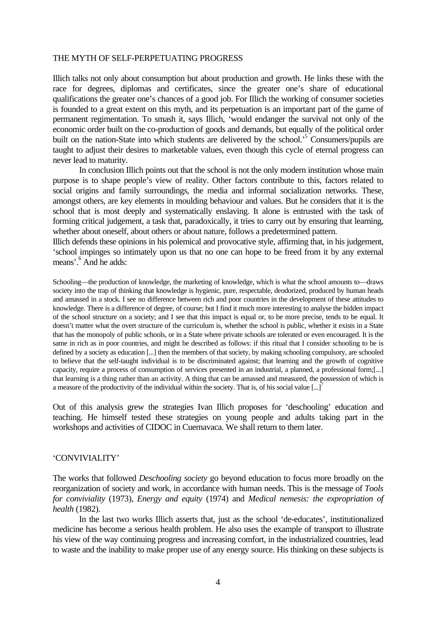#### THE MYTH OF SELF-PERPETUATING PROGRESS

Illich talks not only about consumption but about production and growth. He links these with the race for degrees, diplomas and certificates, since the greater one's share of educational qualifications the greater one's chances of a good job. For Illich the working of consumer societies is founded to a great extent on this myth, and its perpetuation is an important part of the game of permanent regimentation. To smash it, says Illich, 'would endanger the survival not only of the economic order built on the co-production of goods and demands, but equally of the political order built on the nation-State into which students are delivered by the school.<sup>5</sup> Consumers/pupils are taught to adjust their desires to marketable values, even though this cycle of eternal progress can never lead to maturity.

In conclusion Illich points out that the school is not the only modern institution whose main purpose is to shape people's view of reality. Other factors contribute to this, factors related to social origins and family surroundings, the media and informal socialization networks. These, amongst others, are key elements in moulding behaviour and values. But he considers that it is the school that is most deeply and systematically enslaving. It alone is entrusted with the task of forming critical judgement, a task that, paradoxically, it tries to carry out by ensuring that learning, whether about oneself, about others or about nature, follows a predetermined pattern.

Illich defends these opinions in his polemical and provocative style, affirming that, in his judgement, 'school impinges so intimately upon us that no one can hope to be freed from it by any external means'.<sup>6</sup> And he adds:

Schooling—the production of knowledge, the marketing of knowledge, which is what the school amounts to—draws society into the trap of thinking that knowledge is hygienic, pure, respectable, deodorized, produced by human heads and amassed in a stock. I see no difference between rich and poor countries in the development of these attitudes to knowledge. There is a difference of degree, of course; but I find it much more interesting to analyse the hidden impact of the school structure on a society; and I see that this impact is equal or, to be more precise, tends to be equal. It doesn't matter what the overt structure of the curriculum is, whether the school is public, whether it exists in a State that has the monopoly of public schools, or in a State where private schools are tolerated or even encouraged. It is the same in rich as in poor countries, and might be described as follows: if this ritual that I consider schooling to be is defined by a society as education [...] then the members of that society, by making schooling compulsory, are schooled to believe that the self-taught individual is to be discriminated against; that learning and the growth of cognitive capacity, require a process of consumption of services presented in an industrial, a planned, a professional form;[...] that learning is a thing rather than an activity. A thing that can be amassed and measured, the possession of which is a measure of the productivity of the individual within the society. That is, of his social value  $\left[\ldots\right]^7$ 

Out of this analysis grew the strategies Ivan Illich proposes for 'deschooling' education and teaching. He himself tested these strategies on young people and adults taking part in the workshops and activities of CIDOC in Cuernavaca. We shall return to them later.

## 'CONVIVIALITY'

The works that followed *Deschooling society* go beyond education to focus more broadly on the reorganization of society and work, in accordance with human needs. This is the message of *Tools for conviviality* (1973), *Energy and equity* (1974) and *Medical nemesis: the expropriation of health* (1982).

In the last two works Illich asserts that, just as the school 'de-educates', institutionalized medicine has become a serious health problem. He also uses the example of transport to illustrate his view of the way continuing progress and increasing comfort, in the industrialized countries, lead to waste and the inability to make proper use of any energy source. His thinking on these subjects is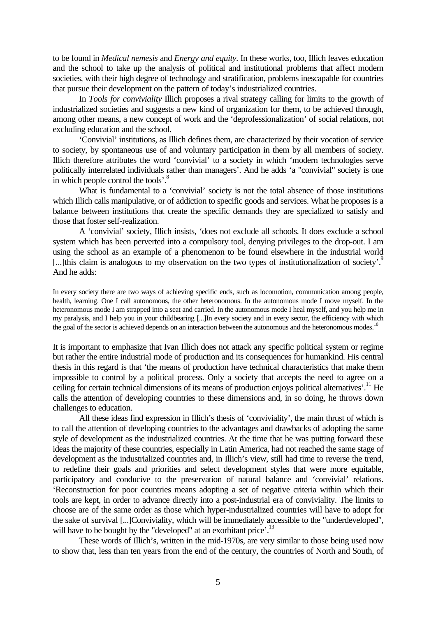to be found in *Medical nemesis* and *Energy and equity*. In these works, too, Illich leaves education and the school to take up the analysis of political and institutional problems that affect modern societies, with their high degree of technology and stratification, problems inescapable for countries that pursue their development on the pattern of today's industrialized countries.

In *Tools for conviviality* Illich proposes a rival strategy calling for limits to the growth of industrialized societies and suggests a new kind of organization for them, to be achieved through, among other means, a new concept of work and the 'deprofessionalization' of social relations, not excluding education and the school.

'Convivial' institutions, as Illich defines them, are characterized by their vocation of service to society, by spontaneous use of and voluntary participation in them by all members of society. Illich therefore attributes the word 'convivial' to a society in which 'modern technologies serve politically interrelated individuals rather than managers'. And he adds 'a "convivial" society is one in which people control the tools'.<sup>8</sup>

What is fundamental to a 'convivial' society is not the total absence of those institutions which Illich calls manipulative, or of addiction to specific goods and services. What he proposes is a balance between institutions that create the specific demands they are specialized to satisfy and those that foster self-realization.

A 'convivial' society, Illich insists, 'does not exclude all schools. It does exclude a school system which has been perverted into a compulsory tool, denying privileges to the drop-out. I am using the school as an example of a phenomenon to be found elsewhere in the industrial world [...]this claim is analogous to my observation on the two types of institutionalization of society'.<sup>9</sup> And he adds:

In every society there are two ways of achieving specific ends, such as locomotion, communication among people, health, learning. One I call autonomous, the other heteronomous. In the autonomous mode I move myself. In the heteronomous mode I am strapped into a seat and carried. In the autonomous mode I heal myself, and you help me in my paralysis, and I help you in your childbearing [...]In every society and in every sector, the efficiency with which the goal of the sector is achieved depends on an interaction between the autonomous and the heteronomous modes.<sup>10</sup>

It is important to emphasize that Ivan Illich does not attack any specific political system or regime but rather the entire industrial mode of production and its consequences for humankind. His central thesis in this regard is that 'the means of production have technical characteristics that make them impossible to control by a political process. Only a society that accepts the need to agree on a ceiling for certain technical dimensions of its means of production enjoys political alternatives'.<sup>11</sup> He calls the attention of developing countries to these dimensions and, in so doing, he throws down challenges to education.

All these ideas find expression in Illich's thesis of 'conviviality', the main thrust of which is to call the attention of developing countries to the advantages and drawbacks of adopting the same style of development as the industrialized countries. At the time that he was putting forward these ideas the majority of these countries, especially in Latin America, had not reached the same stage of development as the industrialized countries and, in Illich's view, still had time to reverse the trend, to redefine their goals and priorities and select development styles that were more equitable, participatory and conducive to the preservation of natural balance and 'convivial' relations. 'Reconstruction for poor countries means adopting a set of negative criteria within which their tools are kept, in order to advance directly into a post-industrial era of conviviality. The limits to choose are of the same order as those which hyper-industrialized countries will have to adopt for the sake of survival [...]Conviviality, which will be immediately accessible to the "underdeveloped", will have to be bought by the "developed" at an exorbitant price'.<sup>13</sup>

These words of Illich's, written in the mid-1970s, are very similar to those being used now to show that, less than ten years from the end of the century, the countries of North and South, of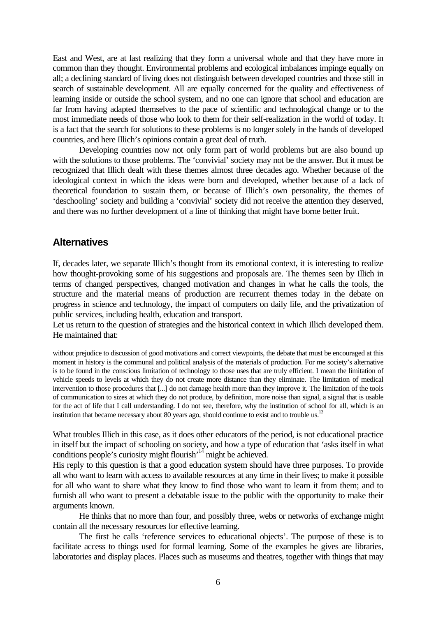East and West, are at last realizing that they form a universal whole and that they have more in common than they thought. Environmental problems and ecological imbalances impinge equally on all; a declining standard of living does not distinguish between developed countries and those still in search of sustainable development. All are equally concerned for the quality and effectiveness of learning inside or outside the school system, and no one can ignore that school and education are far from having adapted themselves to the pace of scientific and technological change or to the most immediate needs of those who look to them for their self-realization in the world of today. It is a fact that the search for solutions to these problems is no longer solely in the hands of developed countries, and here Illich's opinions contain a great deal of truth.

Developing countries now not only form part of world problems but are also bound up with the solutions to those problems. The 'convivial' society may not be the answer. But it must be recognized that Illich dealt with these themes almost three decades ago. Whether because of the ideological context in which the ideas were born and developed, whether because of a lack of theoretical foundation to sustain them, or because of Illich's own personality, the themes of 'deschooling' society and building a 'convivial' society did not receive the attention they deserved, and there was no further development of a line of thinking that might have borne better fruit.

## **Alternatives**

If, decades later, we separate Illich's thought from its emotional context, it is interesting to realize how thought-provoking some of his suggestions and proposals are. The themes seen by Illich in terms of changed perspectives, changed motivation and changes in what he calls the tools, the structure and the material means of production are recurrent themes today in the debate on progress in science and technology, the impact of computers on daily life, and the privatization of public services, including health, education and transport.

Let us return to the question of strategies and the historical context in which Illich developed them. He maintained that:

without prejudice to discussion of good motivations and correct viewpoints, the debate that must be encouraged at this moment in history is the communal and political analysis of the materials of production. For me society's alternative is to be found in the conscious limitation of technology to those uses that are truly efficient. I mean the limitation of vehicle speeds to levels at which they do not create more distance than they eliminate. The limitation of medical intervention to those procedures that [...] do not damage health more than they improve it. The limitation of the tools of communication to sizes at which they do not produce, by definition, more noise than signal, a signal that is usable for the act of life that I call understanding. I do not see, therefore, why the institution of school for all, which is an institution that became necessary about 80 years ago, should continue to exist and to trouble us.<sup>13</sup>

What troubles Illich in this case, as it does other educators of the period, is not educational practice in itself but the impact of schooling on society, and how a type of education that 'asks itself in what conditions people's curiosity might flourish $\frac{1}{4}$  might be achieved.

His reply to this question is that a good education system should have three purposes. To provide all who want to learn with access to available resources at any time in their lives; to make it possible for all who want to share what they know to find those who want to learn it from them; and to furnish all who want to present a debatable issue to the public with the opportunity to make their arguments known.

He thinks that no more than four, and possibly three, webs or networks of exchange might contain all the necessary resources for effective learning.

The first he calls 'reference services to educational objects'. The purpose of these is to facilitate access to things used for formal learning. Some of the examples he gives are libraries, laboratories and display places. Places such as museums and theatres, together with things that may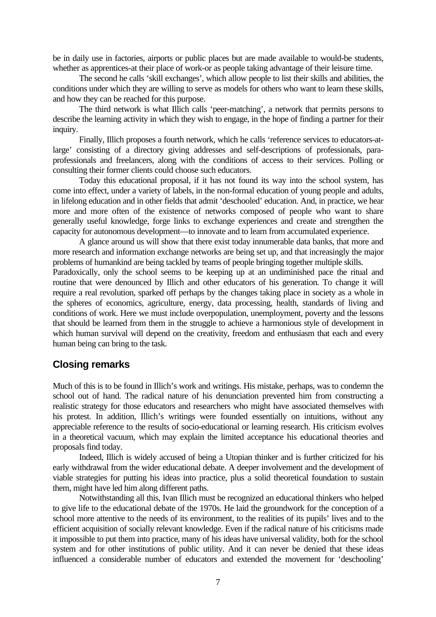be in daily use in factories, airports or public places but are made available to would-be students, whether as apprentices-at their place of work-or as people taking advantage of their leisure time.

The second he calls 'skill exchanges', which allow people to list their skills and abilities, the conditions under which they are willing to serve as models for others who want to learn these skills, and how they can be reached for this purpose.

The third network is what Illich calls 'peer-matching', a network that permits persons to describe the learning activity in which they wish to engage, in the hope of finding a partner for their inquiry.

Finally, Illich proposes a fourth network, which he calls 'reference services to educators-atlarge' consisting of a directory giving addresses and self-descriptions of professionals, paraprofessionals and freelancers, along with the conditions of access to their services. Polling or consulting their former clients could choose such educators.

Today this educational proposal, if it has not found its way into the school system, has come into effect, under a variety of labels, in the non-formal education of young people and adults, in lifelong education and in other fields that admit 'deschooled' education. And, in practice, we hear more and more often of the existence of networks composed of people who want to share generally useful knowledge, forge links to exchange experiences and create and strengthen the capacity for autonomous development—to innovate and to learn from accumulated experience.

A glance around us will show that there exist today innumerable data banks, that more and more research and information exchange networks are being set up, and that increasingly the major problems of humankind are being tackled by teams of people bringing together multiple skills.

Paradoxically, only the school seems to be keeping up at an undiminished pace the ritual and routine that were denounced by Illich and other educators of his generation. To change it will require a real revolution, sparked off perhaps by the changes taking place in society as a whole in the spheres of economics, agriculture, energy, data processing, health, standards of living and conditions of work. Here we must include overpopulation, unemployment, poverty and the lessons that should be learned from them in the struggle to achieve a harmonious style of development in which human survival will depend on the creativity, freedom and enthusiasm that each and every human being can bring to the task.

# **Closing remarks**

Much of this is to be found in Illich's work and writings. His mistake, perhaps, was to condemn the school out of hand. The radical nature of his denunciation prevented him from constructing a realistic strategy for those educators and researchers who might have associated themselves with his protest. In addition, Illich's writings were founded essentially on intuitions, without any appreciable reference to the results of socio-educational or learning research. His criticism evolves in a theoretical vacuum, which may explain the limited acceptance his educational theories and proposals find today.

Indeed, Illich is widely accused of being a Utopian thinker and is further criticized for his early withdrawal from the wider educational debate. A deeper involvement and the development of viable strategies for putting his ideas into practice, plus a solid theoretical foundation to sustain them, might have led him along different paths.

Notwithstanding all this, Ivan Illich must be recognized an educational thinkers who helped to give life to the educational debate of the 1970s. He laid the groundwork for the conception of a school more attentive to the needs of its environment, to the realities of its pupils' lives and to the efficient acquisition of socially relevant knowledge. Even if the radical nature of his criticisms made it impossible to put them into practice, many of his ideas have universal validity, both for the school system and for other institutions of public utility. And it can never be denied that these ideas influenced a considerable number of educators and extended the movement for 'deschooling'